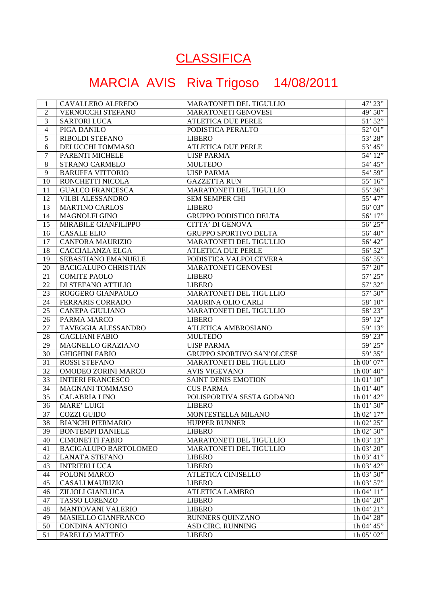## **CLASSIFICA**

## MARCIA AVIS Riva Trigoso 14/08/2011

| 2<br>VERNOCCHI STEFANO<br>MARATONETI GENOVESI<br>3<br><b>SARTORI LUCA</b><br><b>ATLETICA DUE PERLE</b><br>$\overline{4}$<br>PIGA DANILO<br>PODISTICA PERALTO<br>5<br>RIBOLDI STEFANO<br><b>LIBERO</b><br>6<br><b>ATLETICA DUE PERLE</b><br>DELUCCHI TOMMASO<br>7<br>PARENTI MICHELE<br><b>UISP PARMA</b><br>8<br>STRANO CARMELO<br><b>MULTEDO</b><br>9<br><b>BARUFFA VITTORIO</b><br><b>UISP PARMA</b><br>10<br>RONCHETTI NICOLA<br><b>GAZZETTA RUN</b><br>MARATONETI DEL TIGULLIO<br>11<br><b>GUALCO FRANCESCA</b><br>12<br><b>VILBI ALESSANDRO</b><br><b>SEM SEMPER CHI</b><br>13<br><b>MARTINO CARLOS</b><br>LIBERO<br>14<br>GRUPPO PODISTICO DELTA<br><b>MAGNOLFI GINO</b><br>15<br><b>CITTA' DI GENOVA</b><br>MIRABILE GIANFILIPPO<br>16<br><b>CASALE ELIO</b><br><b>GRUPPO SPORTIVO DELTA</b><br>17<br><b>CANFORA MAURIZIO</b><br>MARATONETI DEL TIGULLIO<br>18<br><b>CACCIALANZA ELGA</b><br><b>ATLETICA DUE PERLE</b><br>19<br>SEBASTIANO EMANUELE<br>PODISTICA VALPOLCEVERA<br>20<br><b>BACIGALUPO CHRISTIAN</b><br>MARATONETI GENOVESI | 49' 50"<br>$51'$ $52"$<br>52' 01"<br>$53^\circ\,28^{\prime\prime}$<br>$53^\circ$ $45^{\prime\prime}$<br>54' 12"<br>54' 45"<br>54' 59"<br>55' 16"<br>55' 36"<br>55' 47"<br>56' 03"<br>56' 17"<br>$56'$ $25"$<br>56' 40"<br>56' 42"<br>56' 52" |
|--------------------------------------------------------------------------------------------------------------------------------------------------------------------------------------------------------------------------------------------------------------------------------------------------------------------------------------------------------------------------------------------------------------------------------------------------------------------------------------------------------------------------------------------------------------------------------------------------------------------------------------------------------------------------------------------------------------------------------------------------------------------------------------------------------------------------------------------------------------------------------------------------------------------------------------------------------------------------------------------------------------------------------------------------|----------------------------------------------------------------------------------------------------------------------------------------------------------------------------------------------------------------------------------------------|
|                                                                                                                                                                                                                                                                                                                                                                                                                                                                                                                                                                                                                                                                                                                                                                                                                                                                                                                                                                                                                                                  |                                                                                                                                                                                                                                              |
|                                                                                                                                                                                                                                                                                                                                                                                                                                                                                                                                                                                                                                                                                                                                                                                                                                                                                                                                                                                                                                                  |                                                                                                                                                                                                                                              |
|                                                                                                                                                                                                                                                                                                                                                                                                                                                                                                                                                                                                                                                                                                                                                                                                                                                                                                                                                                                                                                                  |                                                                                                                                                                                                                                              |
|                                                                                                                                                                                                                                                                                                                                                                                                                                                                                                                                                                                                                                                                                                                                                                                                                                                                                                                                                                                                                                                  |                                                                                                                                                                                                                                              |
|                                                                                                                                                                                                                                                                                                                                                                                                                                                                                                                                                                                                                                                                                                                                                                                                                                                                                                                                                                                                                                                  |                                                                                                                                                                                                                                              |
|                                                                                                                                                                                                                                                                                                                                                                                                                                                                                                                                                                                                                                                                                                                                                                                                                                                                                                                                                                                                                                                  |                                                                                                                                                                                                                                              |
|                                                                                                                                                                                                                                                                                                                                                                                                                                                                                                                                                                                                                                                                                                                                                                                                                                                                                                                                                                                                                                                  |                                                                                                                                                                                                                                              |
|                                                                                                                                                                                                                                                                                                                                                                                                                                                                                                                                                                                                                                                                                                                                                                                                                                                                                                                                                                                                                                                  |                                                                                                                                                                                                                                              |
|                                                                                                                                                                                                                                                                                                                                                                                                                                                                                                                                                                                                                                                                                                                                                                                                                                                                                                                                                                                                                                                  |                                                                                                                                                                                                                                              |
|                                                                                                                                                                                                                                                                                                                                                                                                                                                                                                                                                                                                                                                                                                                                                                                                                                                                                                                                                                                                                                                  |                                                                                                                                                                                                                                              |
|                                                                                                                                                                                                                                                                                                                                                                                                                                                                                                                                                                                                                                                                                                                                                                                                                                                                                                                                                                                                                                                  |                                                                                                                                                                                                                                              |
|                                                                                                                                                                                                                                                                                                                                                                                                                                                                                                                                                                                                                                                                                                                                                                                                                                                                                                                                                                                                                                                  |                                                                                                                                                                                                                                              |
|                                                                                                                                                                                                                                                                                                                                                                                                                                                                                                                                                                                                                                                                                                                                                                                                                                                                                                                                                                                                                                                  |                                                                                                                                                                                                                                              |
|                                                                                                                                                                                                                                                                                                                                                                                                                                                                                                                                                                                                                                                                                                                                                                                                                                                                                                                                                                                                                                                  |                                                                                                                                                                                                                                              |
|                                                                                                                                                                                                                                                                                                                                                                                                                                                                                                                                                                                                                                                                                                                                                                                                                                                                                                                                                                                                                                                  |                                                                                                                                                                                                                                              |
|                                                                                                                                                                                                                                                                                                                                                                                                                                                                                                                                                                                                                                                                                                                                                                                                                                                                                                                                                                                                                                                  |                                                                                                                                                                                                                                              |
|                                                                                                                                                                                                                                                                                                                                                                                                                                                                                                                                                                                                                                                                                                                                                                                                                                                                                                                                                                                                                                                  |                                                                                                                                                                                                                                              |
|                                                                                                                                                                                                                                                                                                                                                                                                                                                                                                                                                                                                                                                                                                                                                                                                                                                                                                                                                                                                                                                  | 56' 55"                                                                                                                                                                                                                                      |
|                                                                                                                                                                                                                                                                                                                                                                                                                                                                                                                                                                                                                                                                                                                                                                                                                                                                                                                                                                                                                                                  | 57' 20"                                                                                                                                                                                                                                      |
| 21<br><b>COMITE PAOLO</b><br><b>LIBERO</b>                                                                                                                                                                                                                                                                                                                                                                                                                                                                                                                                                                                                                                                                                                                                                                                                                                                                                                                                                                                                       | $57^\circ$ $25^{\prime\prime}$                                                                                                                                                                                                               |
| 22<br>DI STEFANO ATTILIO<br><b>LIBERO</b>                                                                                                                                                                                                                                                                                                                                                                                                                                                                                                                                                                                                                                                                                                                                                                                                                                                                                                                                                                                                        | 57' 32"                                                                                                                                                                                                                                      |
| 23<br>ROGGERO GIANPAOLO<br>MARATONETI DEL TIGULLIO                                                                                                                                                                                                                                                                                                                                                                                                                                                                                                                                                                                                                                                                                                                                                                                                                                                                                                                                                                                               | 57' 50"                                                                                                                                                                                                                                      |
| 24<br>FERRARIS CORRADO<br>MAURINA OLIO CARLI                                                                                                                                                                                                                                                                                                                                                                                                                                                                                                                                                                                                                                                                                                                                                                                                                                                                                                                                                                                                     | 58' 10"                                                                                                                                                                                                                                      |
| 25<br>CANEPA GIULIANO<br>MARATONETI DEL TIGULLIO                                                                                                                                                                                                                                                                                                                                                                                                                                                                                                                                                                                                                                                                                                                                                                                                                                                                                                                                                                                                 | 58' 23"                                                                                                                                                                                                                                      |
| 26<br>PARMA MARCO<br>LIBERO                                                                                                                                                                                                                                                                                                                                                                                                                                                                                                                                                                                                                                                                                                                                                                                                                                                                                                                                                                                                                      | 59' 12"                                                                                                                                                                                                                                      |
| 27<br>ATLETICA AMBROSIANO<br>TAVEGGIA ALESSANDRO                                                                                                                                                                                                                                                                                                                                                                                                                                                                                                                                                                                                                                                                                                                                                                                                                                                                                                                                                                                                 | 59' 13"                                                                                                                                                                                                                                      |
| 28<br><b>GAGLIANI FABIO</b><br><b>MULTEDO</b>                                                                                                                                                                                                                                                                                                                                                                                                                                                                                                                                                                                                                                                                                                                                                                                                                                                                                                                                                                                                    | 59' 23"                                                                                                                                                                                                                                      |
| 29<br>MAGNELLO GRAZIANO<br><b>UISP PARMA</b>                                                                                                                                                                                                                                                                                                                                                                                                                                                                                                                                                                                                                                                                                                                                                                                                                                                                                                                                                                                                     | 59' 25"                                                                                                                                                                                                                                      |
| 30<br><b>GHIGHINI FABIO</b><br>GRUPPO SPORTIVO SAN'OLCESE                                                                                                                                                                                                                                                                                                                                                                                                                                                                                                                                                                                                                                                                                                                                                                                                                                                                                                                                                                                        | 59' 35"                                                                                                                                                                                                                                      |
| 31<br>ROSSI STEFANO<br>MARATONETI DEL TIGULLIO                                                                                                                                                                                                                                                                                                                                                                                                                                                                                                                                                                                                                                                                                                                                                                                                                                                                                                                                                                                                   | 1h 00' 07"                                                                                                                                                                                                                                   |
| 32<br>OMODEO ZORINI MARCO<br><b>AVIS VIGEVANO</b>                                                                                                                                                                                                                                                                                                                                                                                                                                                                                                                                                                                                                                                                                                                                                                                                                                                                                                                                                                                                | 1h 00' 40"                                                                                                                                                                                                                                   |
| 33<br>SAINT DENIS EMOTION<br><b>INTIERI FRANCESCO</b>                                                                                                                                                                                                                                                                                                                                                                                                                                                                                                                                                                                                                                                                                                                                                                                                                                                                                                                                                                                            | $1h\ 01'$ $10''$                                                                                                                                                                                                                             |
| 34<br><b>MAGNANI TOMMASO</b><br><b>CUS PARMA</b>                                                                                                                                                                                                                                                                                                                                                                                                                                                                                                                                                                                                                                                                                                                                                                                                                                                                                                                                                                                                 | $1h\ 01'$ 40"                                                                                                                                                                                                                                |
| 35<br><b>CALABRIA LINO</b><br>POLISPORTIVA SESTA GODANO                                                                                                                                                                                                                                                                                                                                                                                                                                                                                                                                                                                                                                                                                                                                                                                                                                                                                                                                                                                          | $1h\ 01'$ 42"                                                                                                                                                                                                                                |
| 36<br><b>MARE' LUIGI</b><br><b>LIBERO</b>                                                                                                                                                                                                                                                                                                                                                                                                                                                                                                                                                                                                                                                                                                                                                                                                                                                                                                                                                                                                        | $1h\ 01'$ 50"                                                                                                                                                                                                                                |
| 37<br><b>COZZI GUIDO</b><br>MONTESTELLA MILANO                                                                                                                                                                                                                                                                                                                                                                                                                                                                                                                                                                                                                                                                                                                                                                                                                                                                                                                                                                                                   | 1h 02' 17"                                                                                                                                                                                                                                   |
| $\sim$<br><b>BIANCHI PIERMARIO</b><br><b>HUPPER RUNNER</b><br>38                                                                                                                                                                                                                                                                                                                                                                                                                                                                                                                                                                                                                                                                                                                                                                                                                                                                                                                                                                                 | 1h 02' 25"                                                                                                                                                                                                                                   |
| 39<br><b>BONTEMPI DANIELE</b><br><b>LIBERO</b>                                                                                                                                                                                                                                                                                                                                                                                                                                                                                                                                                                                                                                                                                                                                                                                                                                                                                                                                                                                                   | 1h 02' 50"                                                                                                                                                                                                                                   |
| 40<br><b>CIMONETTI FABIO</b><br>MARATONETI DEL TIGULLIO                                                                                                                                                                                                                                                                                                                                                                                                                                                                                                                                                                                                                                                                                                                                                                                                                                                                                                                                                                                          | $1h\ 03'$ $13"$                                                                                                                                                                                                                              |
| 41<br>BACIGALUPO BARTOLOMEO<br><b>MARATONETI DEL TIGULLIO</b>                                                                                                                                                                                                                                                                                                                                                                                                                                                                                                                                                                                                                                                                                                                                                                                                                                                                                                                                                                                    | 1h 03' 20"                                                                                                                                                                                                                                   |
| 42<br><b>LANATA STEFANO</b><br><b>LIBERO</b>                                                                                                                                                                                                                                                                                                                                                                                                                                                                                                                                                                                                                                                                                                                                                                                                                                                                                                                                                                                                     | 1h 03' 41"                                                                                                                                                                                                                                   |
| 43<br><b>INTRIERI LUCA</b><br><b>LIBERO</b>                                                                                                                                                                                                                                                                                                                                                                                                                                                                                                                                                                                                                                                                                                                                                                                                                                                                                                                                                                                                      | 1h 03' 42"                                                                                                                                                                                                                                   |
| 44<br>POLONI MARCO<br>ATLETICA CINISELLO                                                                                                                                                                                                                                                                                                                                                                                                                                                                                                                                                                                                                                                                                                                                                                                                                                                                                                                                                                                                         | 1h 03' 50"                                                                                                                                                                                                                                   |
| 45<br><b>CASALI MAURIZIO</b><br><b>LIBERO</b>                                                                                                                                                                                                                                                                                                                                                                                                                                                                                                                                                                                                                                                                                                                                                                                                                                                                                                                                                                                                    | 1h 03' 57"                                                                                                                                                                                                                                   |
| 46<br>ZILIOLI GIANLUCA<br><b>ATLETICA LAMBRO</b>                                                                                                                                                                                                                                                                                                                                                                                                                                                                                                                                                                                                                                                                                                                                                                                                                                                                                                                                                                                                 | $1h\ 04'$ $11''$                                                                                                                                                                                                                             |
| 47<br>TASSO LORENZO<br><b>LIBERO</b>                                                                                                                                                                                                                                                                                                                                                                                                                                                                                                                                                                                                                                                                                                                                                                                                                                                                                                                                                                                                             | 1h $04'$ $20''$                                                                                                                                                                                                                              |
| 48<br><b>MANTOVANI VALERIO</b><br><b>LIBERO</b>                                                                                                                                                                                                                                                                                                                                                                                                                                                                                                                                                                                                                                                                                                                                                                                                                                                                                                                                                                                                  | 1h 04' 21"                                                                                                                                                                                                                                   |
| 49<br>MASIELLO GIANFRANCO<br>RUNNERS QUINZANO                                                                                                                                                                                                                                                                                                                                                                                                                                                                                                                                                                                                                                                                                                                                                                                                                                                                                                                                                                                                    | 1h 04' 28"                                                                                                                                                                                                                                   |
| 50<br><b>CONDINA ANTONIO</b><br><b>ASD CIRC. RUNNING</b>                                                                                                                                                                                                                                                                                                                                                                                                                                                                                                                                                                                                                                                                                                                                                                                                                                                                                                                                                                                         |                                                                                                                                                                                                                                              |
| 51<br>1h 05' 02"<br>PARELLO MATTEO<br><b>LIBERO</b>                                                                                                                                                                                                                                                                                                                                                                                                                                                                                                                                                                                                                                                                                                                                                                                                                                                                                                                                                                                              | 1h $04'$ 45"                                                                                                                                                                                                                                 |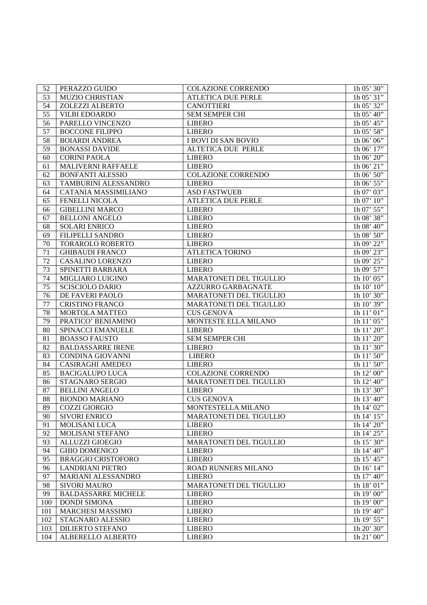| 52  | PERAZZO GUIDO              | COLAZIONE CORRENDO         | $1h$ 05' $30"$               |
|-----|----------------------------|----------------------------|------------------------------|
| 53  | <b>MUZIO CHRISTIAN</b>     | <b>ATLETICA DUE PERLE</b>  | 1h 05' 31"                   |
| 54  | ZOLEZZI ALBERTO            | <b>CANOTTIERI</b>          | 1h 05' 32"                   |
| 55  | <b>VILBI EDOARDO</b>       | <b>SEM SEMPER CHI</b>      | 1h 05' 40"                   |
| 56  | PARELLO VINCENZO           | <b>LIBERO</b>              | 1h 05' 45"                   |
| 57  | <b>BOCCONE FILIPPO</b>     | <b>LIBERO</b>              | 1h 05' 58"                   |
| 58  | <b>BOIARDI ANDREA</b>      | <b>I BOVI DI SAN BOVIO</b> | 1h 06' 06"                   |
| 59  | <b>BONASSI DAVIDE</b>      | ALTETICA DUE PERLE         | 1h 06' 17"                   |
| 60  | <b>CORINI PAOLA</b>        | <b>LIBERO</b>              | 1h 06' 20"                   |
| 61  | MALIVERNI RAFFAELE         | <b>LIBERO</b>              | 1h 06' 21"                   |
| 62  | <b>BONFANTI ALESSIO</b>    | COLAZIONE CORRENDO         | 1h 06' 50"                   |
| 63  | TAMBURINI ALESSANDRO       | <b>LIBERO</b>              | 1h 06' 55"                   |
| 64  | CATANIA MASSIMILIANO       | <b>ASD FASTWUEB</b>        | 1h 07' 03"                   |
| 65  | <b>FENELLI NICOLA</b>      | <b>ATLETICA DUE PERLE</b>  | 1h $07'$ $10''$              |
| 66  | <b>GIBELLINI MARCO</b>     | <b>LIBERO</b>              | $1h\overline{07'55''}$       |
| 67  | <b>BELLONI ANGELO</b>      | <b>LIBERO</b>              | $1h\overline{08'38''}$       |
| 68  | <b>SOLARI ENRICO</b>       | <b>LIBERO</b>              | 1h 08' 40"                   |
| 69  | FILIPELLI SANDRO           | <b>LIBERO</b>              | $1h\ 08'$ 50"                |
| 70  | TORAROLO ROBERTO           | <b>LIBERO</b>              | 1h 09' 22"                   |
| 71  | <b>GHIBAUDI FRANCO</b>     | <b>ATLETICA TORINO</b>     | 1h 09' 23"                   |
| 72  | <b>CASALINO LORENZO</b>    | <b>LIBERO</b>              | 1h 09' 25"                   |
| 73  | SPINETTI BARBARA           | <b>LIBERO</b>              | 1h $09'57''$                 |
| 74  | MIGLIARO LUIGINO           | MARATONETI DEL TIGULLIO    | 1h $10'$ $05''$              |
| 75  | <b>SCISCIOLO DARIO</b>     | <b>AZZURRO GARBAGNATE</b>  | 1h $10'$ $10''$              |
| 76  | DE FAVERI PAOLO            | MARATONETI DEL TIGULLIO    | 1h $10'30''$                 |
| 77  | <b>CRISTINO FRANCO</b>     | MARATONETI DEL TIGULLIO    | 1h $10'39''$                 |
| 78  | MORTOLA MATTEO             | <b>CUS GENOVA</b>          | 1h $11$ ' $\overline{01}$ '' |
| 79  | PRATICO' BENIAMINO         | MONTESTE ELLA MILANO       | 1h 11' 05"                   |
| 80  | SPINACCI EMANUELE          | <b>LIBERO</b>              | 1h 11' 20"                   |
| 81  | <b>BOASSO FAUSTO</b>       | SEM SEMPER CHI             | 1h 11' 20"                   |
| 82  | <b>BALDASSARRE IRENE</b>   | <b>LIBERO</b>              | 1h $11$ ' $30$ ''            |
| 83  | CONDINA GIOVANNI           | <b>LIBERO</b>              | 1h $11'$ $50''$              |
| 84  | <b>CASIRAGHI AMEDEO</b>    | <b>LIBERO</b>              | 1h $11'50''$                 |
| 85  | <b>BACIGALUPO LUCA</b>     | <b>COLAZIONE CORRENDO</b>  | 1h $12$ ' 00"                |
| 86  | STAGNARO SERGIO            | MARATONETI DEL TIGULLIO    | 1h $12'$ 40"                 |
| 87  | <b>BELLINI ANGELO</b>      | <b>LIBERO</b>              | 1h $13'30''$                 |
| 88  | <b>BIONDO MARIANO</b>      | <b>CUS GENOVA</b>          | 1h $13'$ 40"                 |
| 89  | <b>COZZI GIORGIO</b>       | MONTESTELLA MILANO         | 1h 14' 02''                  |
| 90  | <b>SIVORI ENRICO</b>       | MARATONETI DEL TIGULLIO    | 1h 14' 15"                   |
| 91  | <b>MOLISANI LUCA</b>       | <b>LIBERO</b>              | 1h 14' 20"                   |
| 92  | MOLISANI STEFANO           | <b>LIBERO</b>              | 1h 14' 25"                   |
| 93  | <b>ALLUZZI GIOEGIO</b>     | MARATONETI DEL TIGULLIO    | 1h 15' 30"                   |
| 94  | <b>GHIO DOMENICO</b>       | <b>LIBERO</b>              | 1h 14' 40"                   |
| 95  | <b>BRAGGIO CRISTOFORO</b>  | <b>LIBERO</b>              | 1h $15'$ $\overline{45''}$   |
| 96  | <b>LANDRIANI PIETRO</b>    | <b>ROAD RUNNERS MILANO</b> | 1h 16' 14"                   |
| 97  | MARIANI ALESSANDRO         | <b>LIBERO</b>              | 1h 17' 40"                   |
| 98  | <b>SIVORI MAURO</b>        | MARATONETI DEL TIGULLIO    | 1h 18' 01"                   |
| 99  | <b>BALDASSARRE MICHELE</b> | <b>LIBERO</b>              | 1h 19' 00"                   |
| 100 | <b>DONDI SIMONA</b>        | <b>LIBERO</b>              | 1h 19' $00''$                |
| 101 | MARCHESI MASSIMO           | <b>LIBERO</b>              | 1h 19' $40$ "                |
| 102 | STAGNARO ALESSIO           | <b>LIBERO</b>              | 1h 19' 55"                   |
| 103 | <b>DILIERTO STEFANO</b>    | <b>LIBERO</b>              | 1h 20' 30"                   |
| 104 | ALBERELLO ALBERTO          | <b>LIBERO</b>              | 1h 21' 00"                   |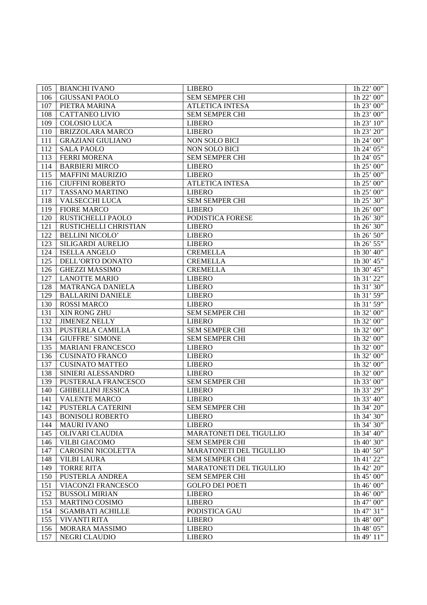| 105 | <b>BIANCHI IVANO</b>      | <b>LIBERO</b>                  | 1h 22' 00'                 |
|-----|---------------------------|--------------------------------|----------------------------|
| 106 | <b>GIUSSANI PAOLO</b>     | SEM SEMPER CHI                 | 1h 22' 00"                 |
| 107 | PIETRA MARINA             | <b>ATLETICA INTESA</b>         | 1h 23' 00"                 |
| 108 | <b>CATTANEO LIVIO</b>     | <b>SEM SEMPER CHI</b>          | 1h 23' 00''                |
| 109 | <b>COLOSIO LUCA</b>       | <b>LIBERO</b>                  | 1h 23' 10''                |
| 110 | <b>BRIZZOLARA MARCO</b>   | <b>LIBERO</b>                  | 1h $23'$ $20''$            |
| 111 | <b>GRAZIANI GIULIANO</b>  | <b>NON SOLO BICI</b>           | 1h 24' 00"                 |
| 112 | <b>SALA PAOLO</b>         | <b>NON SOLO BICI</b>           | 1h 24' 05"                 |
| 113 | <b>FERRI MORENA</b>       | SEM SEMPER CHI                 | 1h 24' 05"                 |
| 114 | <b>BARBIERI MIRCO</b>     | <b>LIBERO</b>                  | 1h 25' 00"                 |
| 115 | <b>MAFFINI MAURIZIO</b>   | <b>LIBERO</b>                  | 1h $25'$ 00"               |
| 116 | <b>CIUFFINI ROBERTO</b>   | <b>ATLETICA INTESA</b>         | 1h $25'$ 00"               |
| 117 | TASSANO MARTINO           | <b>LIBERO</b>                  | 1h 25' 00"                 |
| 118 | <b>VALSECCHI LUCA</b>     | SEM SEMPER CHI                 | 1h 25' 30"                 |
| 119 | <b>FIORE MARCO</b>        | <b>LIBERO</b>                  | 1h $26'00''$               |
| 120 | RUSTICHELLI PAOLO         | PODISTICA FORESE               | 1h 26' $30"$               |
| 121 | RUSTICHELLI CHRISTIAN     | <b>LIBERO</b>                  | 1h 26' 30"                 |
| 122 | <b>BELLINI NICOLO'</b>    | <b>LIBERO</b>                  | 1h $26'$ 50"               |
| 123 | SILIGARDI AURELIO         | <b>LIBERO</b>                  | 1h 26' $55"$               |
| 124 | <b>ISELLA ANGELO</b>      | <b>CREMELLA</b>                | 1h 30' 40"                 |
| 125 | DELL'ORTO DONATO          | <b>CREMELLA</b>                | 1h 30' 45"                 |
| 126 | <b>GHEZZI MASSIMO</b>     | <b>CREMELLA</b>                | 1h 30' 45"                 |
| 127 | <b>LANOTTE MARIO</b>      | <b>LIBERO</b>                  | 1h 31' 22"                 |
| 128 | <b>MATRANGA DANIELA</b>   | <b>LIBERO</b>                  | 1h $31'$ $\overline{30''}$ |
| 129 | <b>BALLARINI DANIELE</b>  | <b>LIBERO</b>                  | 1h $31\overline{)59"$      |
| 130 | <b>ROSSI MARCO</b>        | <b>LIBERO</b>                  | $1h\ 31\ 59$               |
| 131 | XIN RONG ZHU              | <b>SEM SEMPER CHI</b>          | 1h 32' $00"$               |
| 132 | <b>JIMENEZ NELLY</b>      | <b>LIBERO</b>                  | 1h 32' $00"$               |
| 133 | PUSTERLA CAMILLA          | <b>SEM SEMPER CHI</b>          | 1h $32\overline{00}$       |
| 134 | <b>GIUFFRE' SIMONE</b>    | <b>SEM SEMPER CHI</b>          | 1h 32' $00"$               |
| 135 | <b>MARIANI FRANCESCO</b>  | <b>LIBERO</b>                  | 1h 32' $00"$               |
| 136 | <b>CUSINATO FRANCO</b>    | <b>LIBERO</b>                  | 1h 32' $00"$               |
| 137 | <b>CUSINATO MATTEO</b>    | <b>LIBERO</b>                  | 1h 32' $00"$               |
| 138 | SINIERI ALESSANDRO        | <b>LIBERO</b>                  | 1h 32' $00"$               |
| 139 | PUSTERALA FRANCESCO       | SEM SEMPER CHI                 | 1h 33' $00"$               |
| 140 | <b>GHIBELLINI JESSICA</b> | <b>LIBERO</b>                  | 1h 33' 29"                 |
| 141 | <b>VALENTE MARCO</b>      | <b>LIBERO</b>                  | $1h\,33'\,40"$             |
| 142 | <b>PUSTERLA CATERINI</b>  | <b>SEM SEMPER CHI</b>          | 1h 34' 20"                 |
| 143 | <b>BONISOLI ROBERTO</b>   | <b>LIBERO</b>                  | $1h\,34'30''$              |
| 144 | <b>MAURI IVANO</b>        | <b>LIBERO</b>                  | $1h\,34'30''$              |
| 145 | OLIVARI CLAUDIA           | <b>MARATONETI DEL TIGULLIO</b> | $1h\,34'$ 40"              |
| 146 | <b>VILBI GIACOMO</b>      | <b>SEM SEMPER CHI</b>          | $1h\,40'$ 30"              |
| 147 | <b>CAROSINI NICOLETTA</b> | <b>MARATONETI DEL TIGULLIO</b> | $1h\,40'$ 50"              |
| 148 | <b>VILBI LAURA</b>        | <b>SEM SEMPER CHI</b>          | 1h 41' $22$ "              |
| 149 | <b>TORRE RITA</b>         | <b>MARATONETI DEL TIGULLIO</b> | 1h 42' 20''                |
| 150 | <b>PUSTERLA ANDREA</b>    | <b>SEM SEMPER CHI</b>          | 1h 45' 00''                |
| 151 | <b>VIACONZI FRANCESCO</b> | <b>GOLFO DEI POETI</b>         | $1h\,46'$ 00"              |
| 152 | <b>BUSSOLI MIRIAN</b>     | <b>LIBERO</b>                  | $1h\,46'$ 00"              |
| 153 | <b>MARTINO COSIMO</b>     | <b>LIBERO</b>                  | 1h 47' 00''                |
| 154 | <b>SGAMBATI ACHILLE</b>   | PODISTICA GAU                  | 1h47'31''                  |
| 155 | <b>VIVANTI RITA</b>       | <b>LIBERO</b>                  | 1h 48' 00''                |
| 156 | <b>MORARA MASSIMO</b>     | <b>LIBERO</b>                  | $1h\,48'$ 05"              |
| 157 | <b>NEGRI CLAUDIO</b>      | <b>LIBERO</b>                  | 1h49'11'                   |
|     |                           |                                |                            |